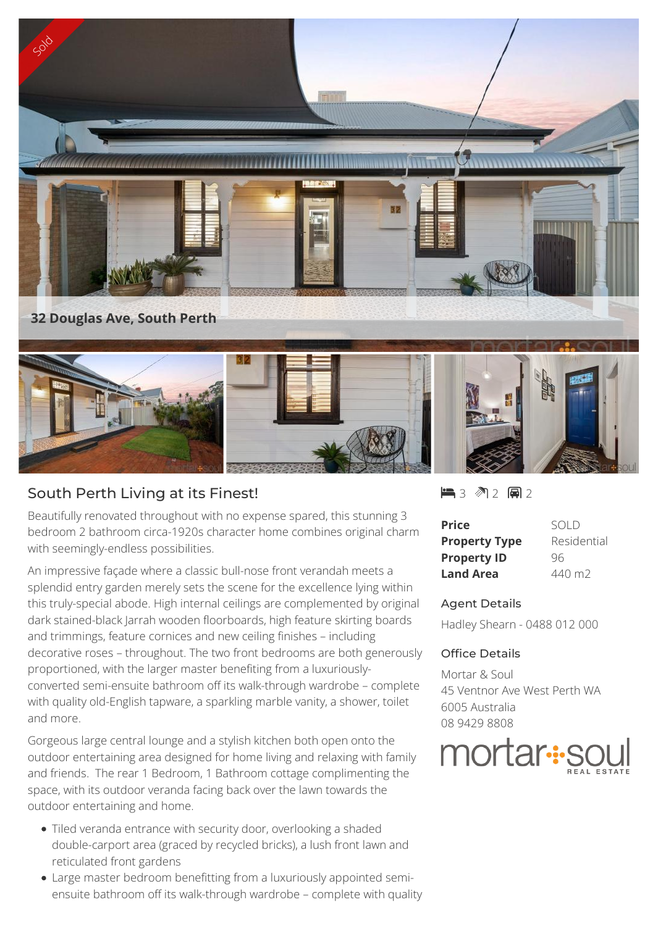

## South Perth Living at its Finest!

Beautifully renovated throughout with no expense spared, this stunning 3 bedroom 2 bathroom circa-1920s character home combines original charm with seemingly-endless possibilities.

An impressive façade where a classic bull-nose front verandah meets a splendid entry garden merely sets the scene for the excellence lying within this truly-special abode. High internal ceilings are complemented by original dark stained-black Jarrah wooden floorboards, high feature skirting boards and trimmings, feature cornices and new ceiling finishes – including decorative roses – throughout. The two front bedrooms are both generously proportioned, with the larger master benefiting from a luxuriouslyconverted semi-ensuite bathroom off its walk-through wardrobe – complete with quality old-English tapware, a sparkling marble vanity, a shower, toilet and more.

Gorgeous large central lounge and a stylish kitchen both open onto the outdoor entertaining area designed for home living and relaxing with family and friends. The rear 1 Bedroom, 1 Bathroom cottage complimenting the space, with its outdoor veranda facing back over the lawn towards the outdoor entertaining and home.

- Tiled veranda entrance with security door, overlooking a shaded double-carport area (graced by recycled bricks), a lush front lawn and reticulated front gardens
- Large master bedroom benefitting from a luxuriously appointed semiensuite bathroom off its walk-through wardrobe – complete with quality

 $-3$   $2$   $-2$   $-2$ 

| Price                | SOI D       |
|----------------------|-------------|
| <b>Property Type</b> | Residential |
| <b>Property ID</b>   | 96          |
| <b>Land Area</b>     | 440 m2      |

## Agent Details

Hadley Shearn - 0488 012 000

## Office Details

Mortar & Soul 45 Ventnor Ave West Perth WA 6005 Australia 08 9429 8808